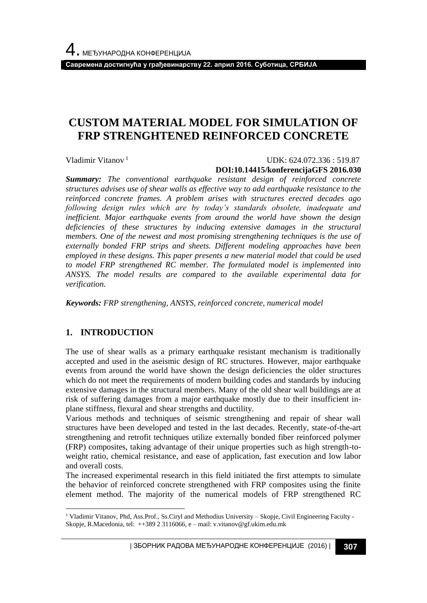**Савремена достигнућа у грађевинарству 22. април 2016. Суботица, СРБИЈА**

# **CUSTOM MATERIAL MODEL FOR SIMULATION OF FRP STRENGHTENED REINFORCED CONCRETE**

Vladimir Vitanov <sup>1</sup>

### UDK: 624.072.336 : 519.87 **DOI:10.14415/konferencijaGFS 2016.030**

*Summary: The conventional earthquake resistant design of reinforced concrete structures advises use of shear walls as effective way to add earthquake resistance to the reinforced concrete frames. A problem arises with structures erected decades ago following design rules which are by today's standards obsolete, inadequate and inefficient. Major earthquake events from around the world have shown the design deficiencies of these structures by inducing extensive damages in the structural members. One of the newest and most promising strengthening techniques is the use of externally bonded FRP strips and sheets. Different modeling approaches have been employed in these designs. This paper presents a new material model that could be used to model FRP strengthened RC member. The formulated model is implemented into ANSYS. The model results are compared to the available experimental data for verification.*

*Keywords: FRP strengthening, ANSYS, reinforced concrete, numerical model*

### **1. INTRODUCTION**

l

The use of shear walls as a primary earthquake resistant mechanism is traditionally accepted and used in the aseismic design of RC structures. However, major earthquake events from around the world have shown the design deficiencies the older structures which do not meet the requirements of modern building codes and standards by inducing extensive damages in the structural members. Many of the old shear wall buildings are at risk of suffering damages from a major earthquake mostly due to their insufficient inplane stiffness, flexural and shear strengths and ductility.

Various methods and techniques of seismic strengthening and repair of shear wall structures have been developed and tested in the last decades. Recently, state-of-the-art strengthening and retrofit techniques utilize externally bonded fiber reinforced polymer (FRP) composites, taking advantage of their unique properties such as high strength-toweight ratio, chemical resistance, and ease of application, fast execution and low labor and overall costs.

The increased experimental research in this field initiated the first attempts to simulate the behavior of reinforced concrete strengthened with FRP composites using the finite element method. The majority of the numerical models of FRP strengthened RC

<sup>1</sup> Vladimir Vitanov, Phd, Ass.Prof., Ss.Ciryl and Methodius University – Skopje, Civil Engineering Faculty - Skopje, R.Macedonia, tel: ++389 2 3116066, e – mail: v.vitanov@gf.ukim.edu.mk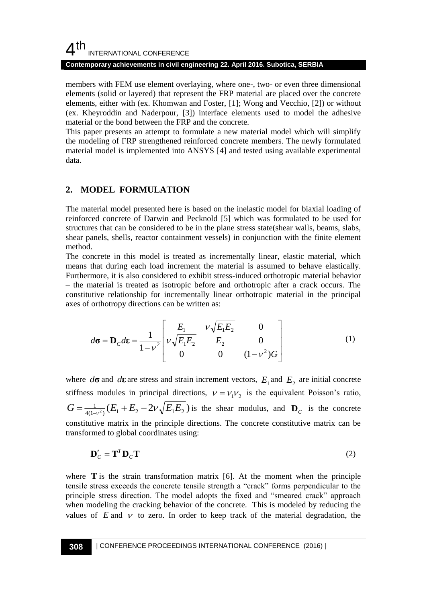## $4<sup>th</sup>$ INTERNATIONAL CONFERENCE

### **Contemporary achievements in civil engineering 22. April 2016. Subotica, SERBIA**

members with FEM use element overlaying, where one-, two- or even three dimensional elements (solid or layered) that represent the FRP material are placed over the concrete elements, either with (ex. Khomwan and Foster, [1]; Wong and Vecchio, [2]) or without (ex. Kheyroddin and Naderpour, [3]) interface elements used to model the adhesive material or the bond between the FRP and the concrete.

This paper presents an attempt to formulate a new material model which will simplify the modeling of FRP strengthened reinforced concrete members. The newly formulated material model is implemented into ANSYS [4] and tested using available experimental data.

## **2. MODEL FORMULATION**

The material model presented here is based on the inelastic model for biaxial loading of reinforced concrete of Darwin and Pecknold [5] which was formulated to be used for structures that can be considered to be in the plane stress state(shear walls, beams, slabs, shear panels, shells, reactor containment vessels) in conjunction with the finite element method.

The concrete in this model is treated as incrementally linear, elastic material, which means that during each load increment the material is assumed to behave elastically. Furthermore, it is also considered to exhibit stress-induced orthotropic material behavior – the material is treated as isotropic before and orthotropic after a crack occurs. The constitutive relationship for incrementally linear orthotropic material in the principal axes of orthotropy directions can be written as:

$$
d\sigma = \mathbf{D}_C d\mathbf{\varepsilon} = \frac{1}{1 - v^2} \begin{bmatrix} E_1 & v\sqrt{E_1 E_2} & 0 \\ v\sqrt{E_1 E_2} & E_2 & 0 \\ 0 & 0 & (1 - v^2)G \end{bmatrix}
$$
(1)

where  $d\sigma$  and  $d\epsilon$  are stress and strain increment vectors,  $E_1$  and  $E_2$  are initial concrete stiffness modules in principal directions,  $v = v_1 v_2$  is the equivalent Poisson's ratio,  $G = \frac{1}{4(1-v^2)} (E_1 + E_2 - 2v \sqrt{E_1 E_2})$  is the shear modulus, and  $D_c$  is the concrete constitutive matrix in the principle directions. The concrete constitutive matrix can be transformed to global coordinates using:

$$
\mathbf{D}'_C = \mathbf{T}^T \mathbf{D}_C \mathbf{T} \tag{2}
$$

where  $\bf{T}$  is the strain transformation matrix [6]. At the moment when the principle tensile stress exceeds the concrete tensile strength a "crack" forms perpendicular to the principle stress direction. The model adopts the fixed and "smeared crack" approach when modeling the cracking behavior of the concrete. This is modeled by reducing the values of  $E$  and  $V$  to zero. In order to keep track of the material degradation, the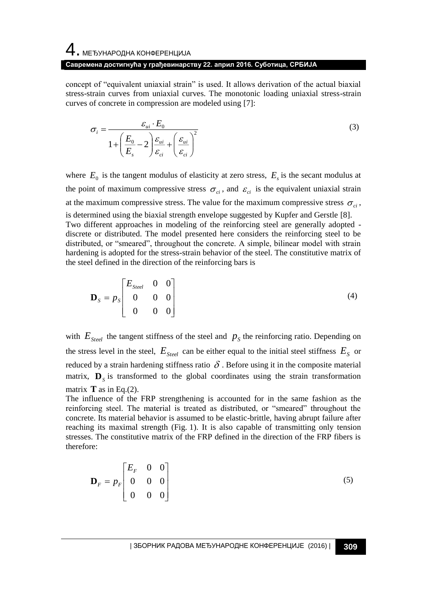# 4. МЕЂУНАРОДНА КОНФЕРЕНЦИЈА **Савремена достигнућа у грађевинарству 22. април 2016. Суботица, СРБИЈА**

concept of "equivalent uniaxial strain" is used. It allows derivation of the actual biaxial stress-strain curves from uniaxial curves. The monotonic loading uniaxial stress-strain curves of concrete in compression are modeled using [7]:

$$
\sigma_i = \frac{\varepsilon_{ui} \cdot E_0}{1 + \left(\frac{E_0}{E_s} - 2\right) \frac{\varepsilon_{ui}}{\varepsilon_{ci}} + \left(\frac{\varepsilon_{ui}}{\varepsilon_{ci}}\right)^2}
$$
(3)

where  $E_0$  is the tangent modulus of elasticity at zero stress,  $E_s$  is the secant modulus at the point of maximum compressive stress  $\sigma_{ci}$ , and  $\varepsilon_{ci}$  is the equivalent uniaxial strain at the maximum compressive stress. The value for the maximum compressive stress  $\sigma_{ci}$ , is determined using the biaxial strength envelope suggested by Kupfer and Gerstle [8]. Two different approaches in modeling of the reinforcing steel are generally adopted discrete or distributed. The model presented here considers the reinforcing steel to be distributed, or "smeared", throughout the concrete. A simple, bilinear model with strain hardening is adopted for the stress-strain behavior of the steel. The constitutive matrix of the steel defined in the direction of the reinforcing bars is

$$
\mathbf{D}_{s} = p_{s} \begin{bmatrix} E_{\text{Sreet}} & 0 & 0 \\ 0 & 0 & 0 \\ 0 & 0 & 0 \end{bmatrix}
$$
 (4)

with  $E_{Steel}$  the tangent stiffness of the steel and  $p<sub>S</sub>$  the reinforcing ratio. Depending on the stress level in the steel,  $E_{\text{Steel}}$  can be either equal to the initial steel stiffness  $E_{\text{S}}$  or reduced by a strain hardening stiffness ratio  $\delta$ . Before using it in the composite material matrix,  $\mathbf{D}_s$  is transformed to the global coordinates using the strain transformation matrix **T** as in Eq.(2).

The influence of the FRP strengthening is accounted for in the same fashion as the reinforcing steel. The material is treated as distributed, or "smeared" throughout the concrete. Its material behavior is assumed to be elastic-brittle, having abrupt failure after reaching its maximal strength (Fig. 1). It is also capable of transmitting only tension stresses. The constitutive matrix of the FRP defined in the direction of the FRP fibers is therefore:

$$
\mathbf{D}_F = p_F \begin{bmatrix} E_F & 0 & 0 \\ 0 & 0 & 0 \\ 0 & 0 & 0 \end{bmatrix}
$$
 (5)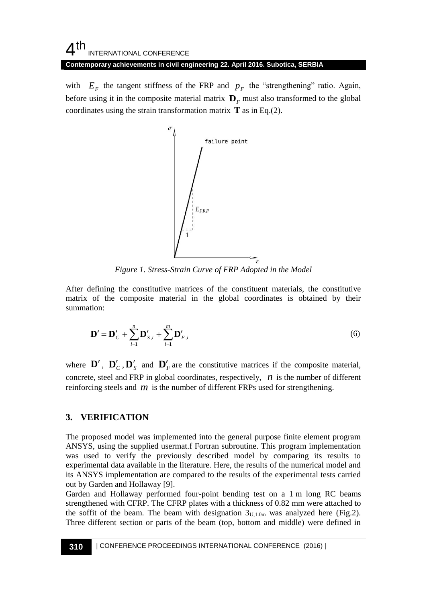#### 4 th INTERNATIONAL CONFERENCE **Contemporary achievements in civil engineering 22. April 2016. Subotica, SERBIA**

with  $E_F$  the tangent stiffness of the FRP and  $p_F$  the "strengthening" ratio. Again, before using it in the composite material matrix  $\mathbf{D}_F$  must also transformed to the global coordinates using the strain transformation matrix  $\mathbf{T}$  as in Eq.(2).



*Figure 1. Stress-Strain Curve of FRP Adopted in the Model*

After defining the constitutive matrices of the constituent materials, the constitutive matrix of the composite material in the global coordinates is obtained by their summation:

$$
\mathbf{D}' = \mathbf{D}'_C + \sum_{i=1}^n \mathbf{D}'_{S,i} + \sum_{i=1}^m \mathbf{D}'_{F,i}
$$
(6)

where  $\mathbf{D}'$ ,  $\mathbf{D}'_C$ ,  $\mathbf{D}'_S$  and  $\mathbf{D}'_F$  are the constitutive matrices if the composite material, concrete, steel and FRP in global coordinates, respectively,  $n$  is the number of different reinforcing steels and  $m$  is the number of different FRPs used for strengthening.

### **3. VERIFICATION**

The proposed model was implemented into the general purpose finite element program ANSYS, using the supplied usermat.f Fortran subroutine. This program implementation was used to verify the previously described model by comparing its results to experimental data available in the literature. Here, the results of the numerical model and its ANSYS implementation are compared to the results of the experimental tests carried out by Garden and Hollaway [9].

Garden and Hollaway performed four-point bending test on a 1 m long RC beams strengthened with CFRP. The CFRP plates with a thickness of 0.82 mm were attached to the soffit of the beam. The beam with designation  $3<sub>U,1.0m</sub>$  was analyzed here (Fig.2). Three different section or parts of the beam (top, bottom and middle) were defined in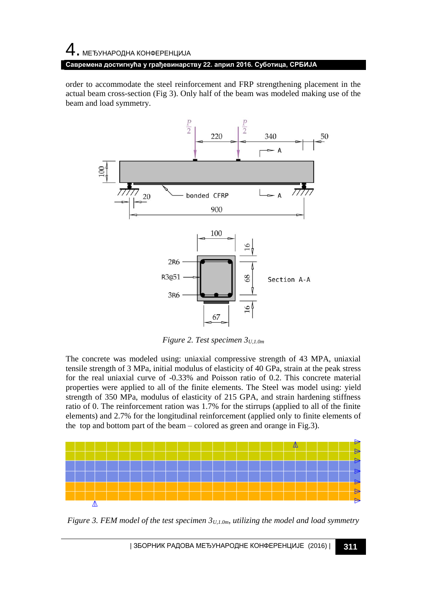# $\,4\,$ . Међународна конференција **Савремена достигнућа у грађевинарству 22. април 2016. Суботица, СРБИЈА**

order to accommodate the steel reinforcement and FRP strengthening placement in the actual beam cross-section (Fig 3). Only half of the beam was modeled making use of the beam and load symmetry.



*Figure 2. Test specimen 3U,1.0m*

The concrete was modeled using: uniaxial compressive strength of 43 MPA, uniaxial tensile strength of 3 MPa, initial modulus of elasticity of 40 GPa, strain at the peak stress for the real uniaxial curve of -0.33% and Poisson ratio of 0.2. This concrete material properties were applied to all of the finite elements. The Steel was model using: yield strength of 350 MPa, modulus of elasticity of 215 GPA, and strain hardening stiffness ratio of 0. The reinforcement ration was 1.7% for the stirrups (applied to all of the finite elements) and 2.7% for the longitudinal reinforcement (applied only to finite elements of the top and bottom part of the beam – colored as green and orange in Fig.3).



*Figure 3. FEM model of the test specimen 3U,1.0m, utilizing the model and load symmetry*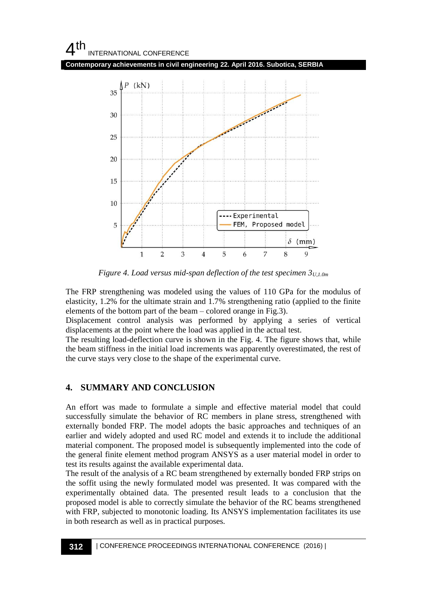

*Figure 4. Load versus mid-span deflection of the test specimen 3U,1.0m*

The FRP strengthening was modeled using the values of 110 GPa for the modulus of elasticity, 1.2% for the ultimate strain and 1.7% strengthening ratio (applied to the finite elements of the bottom part of the beam – colored orange in Fig.3).

Displacement control analysis was performed by applying a series of vertical displacements at the point where the load was applied in the actual test.

The resulting load-deflection curve is shown in the Fig. 4. The figure shows that, while the beam stiffness in the initial load increments was apparently overestimated, the rest of the curve stays very close to the shape of the experimental curve.

## **4. SUMMARY AND CONCLUSION**

An effort was made to formulate a simple and effective material model that could successfully simulate the behavior of RC members in plane stress, strengthened with externally bonded FRP. The model adopts the basic approaches and techniques of an earlier and widely adopted and used RC model and extends it to include the additional material component. The proposed model is subsequently implemented into the code of the general finite element method program ANSYS as a user material model in order to test its results against the available experimental data.

The result of the analysis of a RC beam strengthened by externally bonded FRP strips on the soffit using the newly formulated model was presented. It was compared with the experimentally obtained data. The presented result leads to a conclusion that the proposed model is able to correctly simulate the behavior of the RC beams strengthened with FRP, subjected to monotonic loading. Its ANSYS implementation facilitates its use in both research as well as in practical purposes.